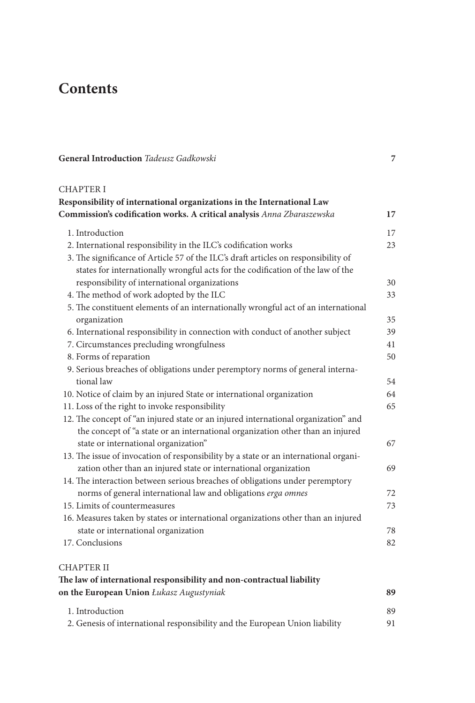## **Contents**

**General Introduction** *Tadeusz Gadkowski* **7**

| I |  |   |  |
|---|--|---|--|
|   |  |   |  |
|   |  |   |  |
|   |  | i |  |

## CHAPTER I

| Responsibility of international organizations in the International Law               |    |
|--------------------------------------------------------------------------------------|----|
| Commission's codification works. A critical analysis Anna Zbaraszewska               | 17 |
| 1. Introduction                                                                      | 17 |
| 2. International responsibility in the ILC's codification works                      | 23 |
| 3. The significance of Article 57 of the ILC's draft articles on responsibility of   |    |
| states for internationally wrongful acts for the codification of the law of the      |    |
| responsibility of international organizations                                        | 30 |
| 4. The method of work adopted by the ILC                                             | 33 |
| 5. The constituent elements of an internationally wrongful act of an international   |    |
| organization                                                                         | 35 |
| 6. International responsibility in connection with conduct of another subject        | 39 |
| 7. Circumstances precluding wrongfulness                                             | 41 |
| 8. Forms of reparation                                                               | 50 |
| 9. Serious breaches of obligations under peremptory norms of general interna-        |    |
| tional law                                                                           | 54 |
| 10. Notice of claim by an injured State or international organization                | 64 |
| 11. Loss of the right to invoke responsibility                                       | 65 |
| 12. The concept of "an injured state or an injured international organization" and   |    |
| the concept of "a state or an international organization other than an injured       |    |
| state or international organization"                                                 | 67 |
| 13. The issue of invocation of responsibility by a state or an international organi- |    |
| zation other than an injured state or international organization                     | 69 |
| 14. The interaction between serious breaches of obligations under peremptory         |    |
| norms of general international law and obligations erga omnes                        | 72 |
| 15. Limits of countermeasures                                                        | 73 |
| 16. Measures taken by states or international organizations other than an injured    |    |
| state or international organization                                                  | 78 |
| 17. Conclusions                                                                      | 82 |
| <b>CHAPTER II</b>                                                                    |    |
| The law of international responsibility and non-contractual liability                |    |
| on the European Union Łukasz Augustyniak                                             | 89 |
| 1. Introduction                                                                      | 89 |
| 2. Genesis of international responsibility and the European Union liability          | 91 |